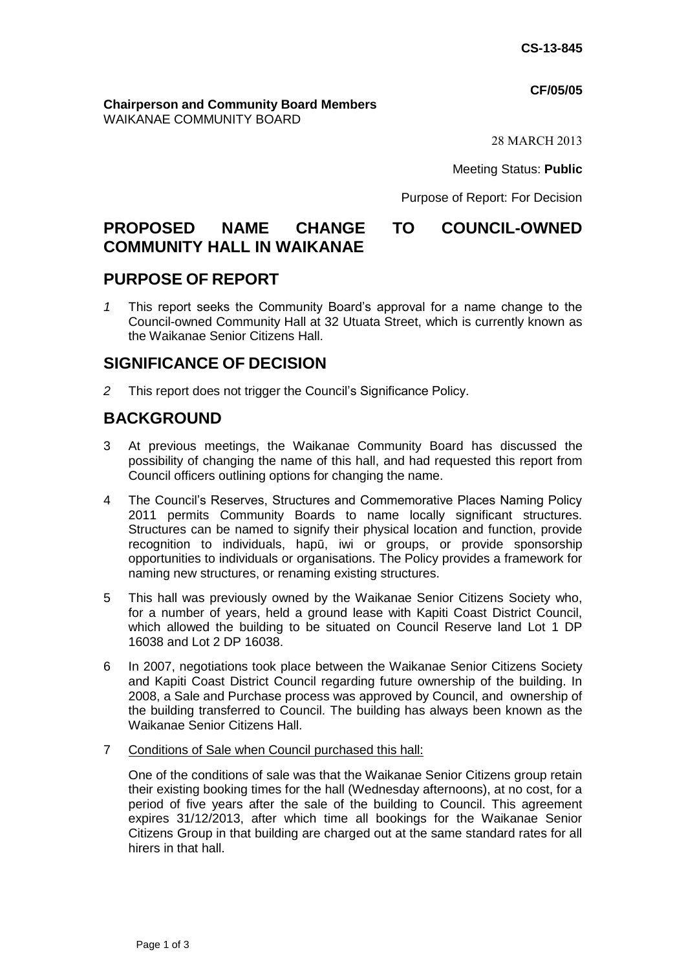#### **CF/05/05**

#### **Chairperson and Community Board Members** WAIKANAE COMMUNITY BOARD

28 MARCH 2013

Meeting Status: **Public**

Purpose of Report: For Decision

# **PROPOSED NAME CHANGE TO COUNCIL-OWNED COMMUNITY HALL IN WAIKANAE**

# **PURPOSE OF REPORT**

*1* This report seeks the Community Board's approval for a name change to the Council-owned Community Hall at 32 Utuata Street, which is currently known as the Waikanae Senior Citizens Hall.

# **SIGNIFICANCE OF DECISION**

*2* This report does not trigger the Council's Significance Policy.

# **BACKGROUND**

- 3 At previous meetings, the Waikanae Community Board has discussed the possibility of changing the name of this hall, and had requested this report from Council officers outlining options for changing the name.
- 4 The Council's Reserves, Structures and Commemorative Places Naming Policy 2011 permits Community Boards to name locally significant structures. Structures can be named to signify their physical location and function, provide recognition to individuals, hapū, iwi or groups, or provide sponsorship opportunities to individuals or organisations. The Policy provides a framework for naming new structures, or renaming existing structures.
- 5 This hall was previously owned by the Waikanae Senior Citizens Society who, for a number of years, held a ground lease with Kapiti Coast District Council, which allowed the building to be situated on Council Reserve land Lot 1 DP 16038 and Lot 2 DP 16038.
- 6 In 2007, negotiations took place between the Waikanae Senior Citizens Society and Kapiti Coast District Council regarding future ownership of the building. In 2008, a Sale and Purchase process was approved by Council, and ownership of the building transferred to Council. The building has always been known as the Waikanae Senior Citizens Hall.
- 7 Conditions of Sale when Council purchased this hall:

One of the conditions of sale was that the Waikanae Senior Citizens group retain their existing booking times for the hall (Wednesday afternoons), at no cost, for a period of five years after the sale of the building to Council. This agreement expires 31/12/2013, after which time all bookings for the Waikanae Senior Citizens Group in that building are charged out at the same standard rates for all hirers in that hall.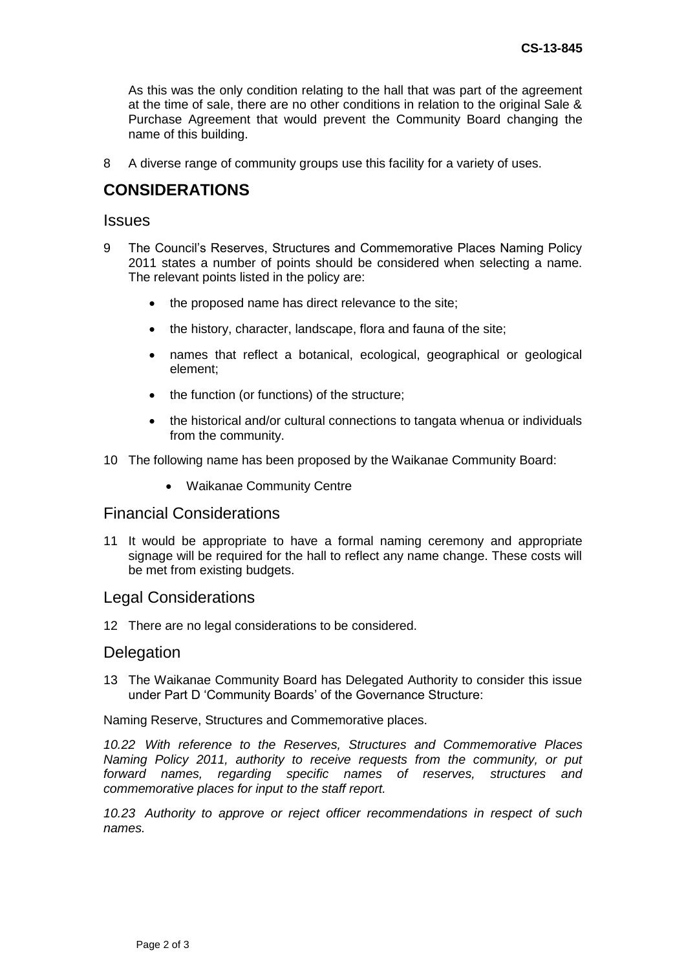As this was the only condition relating to the hall that was part of the agreement at the time of sale, there are no other conditions in relation to the original Sale & Purchase Agreement that would prevent the Community Board changing the name of this building.

8 A diverse range of community groups use this facility for a variety of uses.

# **CONSIDERATIONS**

#### **Issues**

- 9 The Council's Reserves, Structures and Commemorative Places Naming Policy 2011 states a number of points should be considered when selecting a name. The relevant points listed in the policy are:
	- the proposed name has direct relevance to the site;
	- the history, character, landscape, flora and fauna of the site;
	- names that reflect a botanical, ecological, geographical or geological element;
	- the function (or functions) of the structure;
	- the historical and/or cultural connections to tangata whenua or individuals from the community.
- 10 The following name has been proposed by the Waikanae Community Board:
	- Waikanae Community Centre

### Financial Considerations

11 It would be appropriate to have a formal naming ceremony and appropriate signage will be required for the hall to reflect any name change. These costs will be met from existing budgets.

#### Legal Considerations

12 There are no legal considerations to be considered.

#### **Delegation**

13 The Waikanae Community Board has Delegated Authority to consider this issue under Part D 'Community Boards' of the Governance Structure:

Naming Reserve, Structures and Commemorative places.

*10.22 With reference to the Reserves, Structures and Commemorative Places Naming Policy 2011, authority to receive requests from the community, or put forward names, regarding specific names of reserves, structures and commemorative places for input to the staff report.* 

*10.23 Authority to approve or reject officer recommendations in respect of such names.*